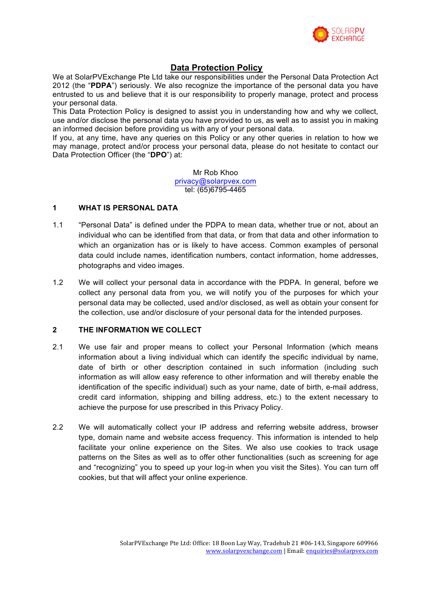

# **Data Protection Policy**

We at SolarPVExchange Pte Ltd take our responsibilities under the Personal Data Protection Act 2012 (the "**PDPA**") seriously. We also recognize the importance of the personal data you have entrusted to us and believe that it is our responsibility to properly manage, protect and process your personal data.

This Data Protection Policy is designed to assist you in understanding how and why we collect, use and/or disclose the personal data you have provided to us, as well as to assist you in making an informed decision before providing us with any of your personal data.

If you, at any time, have any queries on this Policy or any other queries in relation to how we may manage, protect and/or process your personal data, please do not hesitate to contact our Data Protection Officer (the "**DPO**") at:

> Mr Rob Khoo privacy@solarpvex.com tel: (65)6795-4465

### **1 WHAT IS PERSONAL DATA**

- 1.1 "Personal Data" is defined under the PDPA to mean data, whether true or not, about an individual who can be identified from that data, or from that data and other information to which an organization has or is likely to have access. Common examples of personal data could include names, identification numbers, contact information, home addresses, photographs and video images.
- 1.2 We will collect your personal data in accordance with the PDPA. In general, before we collect any personal data from you, we will notify you of the purposes for which your personal data may be collected, used and/or disclosed, as well as obtain your consent for the collection, use and/or disclosure of your personal data for the intended purposes.

## **2 THE INFORMATION WE COLLECT**

- 2.1 We use fair and proper means to collect your Personal Information (which means information about a living individual which can identify the specific individual by name, date of birth or other description contained in such information (including such information as will allow easy reference to other information and will thereby enable the identification of the specific individual) such as your name, date of birth, e-mail address, credit card information, shipping and billing address, etc.) to the extent necessary to achieve the purpose for use prescribed in this Privacy Policy.
- 2.2 We will automatically collect your IP address and referring website address, browser type, domain name and website access frequency. This information is intended to help facilitate your online experience on the Sites. We also use cookies to track usage patterns on the Sites as well as to offer other functionalities (such as screening for age and "recognizing" you to speed up your log-in when you visit the Sites). You can turn off cookies, but that will affect your online experience.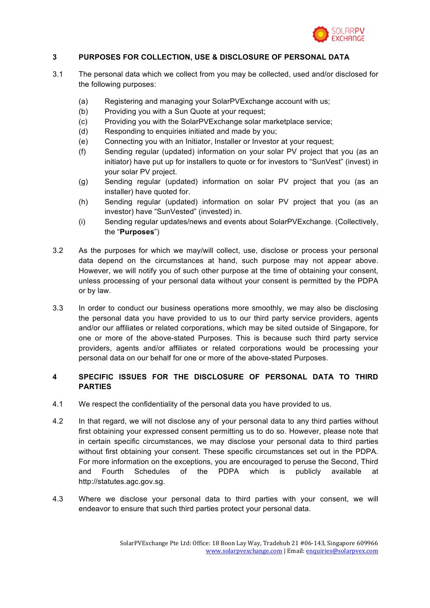

### **3 PURPOSES FOR COLLECTION, USE & DISCLOSURE OF PERSONAL DATA**

- 3.1 The personal data which we collect from you may be collected, used and/or disclosed for the following purposes:
	- (a) Registering and managing your SolarPVExchange account with us;
	- (b) Providing you with a Sun Quote at your request;
	- (c) Providing you with the SolarPVExchange solar marketplace service;
	- (d) Responding to enquiries initiated and made by you;
	- (e) Connecting you with an Initiator, Installer or Investor at your request;
	- (f) Sending regular (updated) information on your solar PV project that you (as an initiator) have put up for installers to quote or for investors to "SunVest" (invest) in your solar PV project.
	- (g) Sending regular (updated) information on solar PV project that you (as an installer) have quoted for.
	- (h) Sending regular (updated) information on solar PV project that you (as an investor) have "SunVested" (invested) in.
	- (i) Sending regular updates/news and events about SolarPVExchange. (Collectively, the "**Purposes**")
- 3.2 As the purposes for which we may/will collect, use, disclose or process your personal data depend on the circumstances at hand, such purpose may not appear above. However, we will notify you of such other purpose at the time of obtaining your consent, unless processing of your personal data without your consent is permitted by the PDPA or by law.
- 3.3 In order to conduct our business operations more smoothly, we may also be disclosing the personal data you have provided to us to our third party service providers, agents and/or our affiliates or related corporations, which may be sited outside of Singapore, for one or more of the above-stated Purposes. This is because such third party service providers, agents and/or affiliates or related corporations would be processing your personal data on our behalf for one or more of the above-stated Purposes.

### **4 SPECIFIC ISSUES FOR THE DISCLOSURE OF PERSONAL DATA TO THIRD PARTIES**

- 4.1 We respect the confidentiality of the personal data you have provided to us.
- 4.2 In that regard, we will not disclose any of your personal data to any third parties without first obtaining your expressed consent permitting us to do so. However, please note that in certain specific circumstances, we may disclose your personal data to third parties without first obtaining your consent. These specific circumstances set out in the PDPA. For more information on the exceptions, you are encouraged to peruse the Second, Third and Fourth Schedules of the PDPA which is publicly available at http://statutes.agc.gov.sg.
- 4.3 Where we disclose your personal data to third parties with your consent, we will endeavor to ensure that such third parties protect your personal data.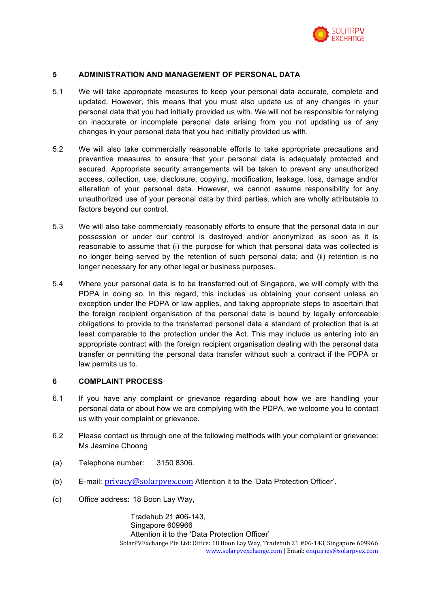

### **5 ADMINISTRATION AND MANAGEMENT OF PERSONAL DATA**

- 5.1 We will take appropriate measures to keep your personal data accurate, complete and updated. However, this means that you must also update us of any changes in your personal data that you had initially provided us with. We will not be responsible for relying on inaccurate or incomplete personal data arising from you not updating us of any changes in your personal data that you had initially provided us with.
- 5.2 We will also take commercially reasonable efforts to take appropriate precautions and preventive measures to ensure that your personal data is adequately protected and secured. Appropriate security arrangements will be taken to prevent any unauthorized access, collection, use, disclosure, copying, modification, leakage, loss, damage and/or alteration of your personal data. However, we cannot assume responsibility for any unauthorized use of your personal data by third parties, which are wholly attributable to factors beyond our control.
- 5.3 We will also take commercially reasonably efforts to ensure that the personal data in our possession or under our control is destroyed and/or anonymized as soon as it is reasonable to assume that (i) the purpose for which that personal data was collected is no longer being served by the retention of such personal data; and (ii) retention is no longer necessary for any other legal or business purposes.
- 5.4 Where your personal data is to be transferred out of Singapore, we will comply with the PDPA in doing so. In this regard, this includes us obtaining your consent unless an exception under the PDPA or law applies, and taking appropriate steps to ascertain that the foreign recipient organisation of the personal data is bound by legally enforceable obligations to provide to the transferred personal data a standard of protection that is at least comparable to the protection under the Act. This may include us entering into an appropriate contract with the foreign recipient organisation dealing with the personal data transfer or permitting the personal data transfer without such a contract if the PDPA or law permits us to.

### **6 COMPLAINT PROCESS**

- 6.1 If you have any complaint or grievance regarding about how we are handling your personal data or about how we are complying with the PDPA, we welcome you to contact us with your complaint or grievance.
- 6.2 Please contact us through one of the following methods with your complaint or grievance: Ms Jasmine Choong
- (a) Telephone number: 3150 8306.
- (b) E-mail: privacy@solarpvex.com Attention it to the 'Data Protection Officer'.
- (c) Office address: 18 Boon Lay Way,

SolarPVExchange Pte Ltd: Office: 18 Boon Lay Way, Tradehub 21 #06-143, Singapore 609966 www.solarpvexchange.com | Email: enquiries@solarpvex.com Tradehub 21 #06-143, Singapore 609966 Attention it to the 'Data Protection Officer'